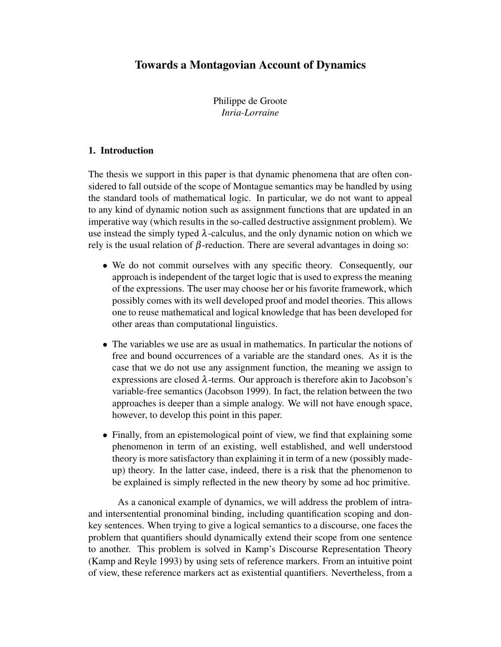# Towards a Montagovian Account of Dynamics

Philippe de Groote *Inria-Lorraine*

# 1. Introduction

The thesis we support in this paper is that dynamic phenomena that are often considered to fall outside of the scope of Montague semantics may be handled by using the standard tools of mathematical logic. In particular, we do not want to appeal to any kind of dynamic notion such as assignment functions that are updated in an imperative way (which results in the so-called destructive assignment problem). We use instead the simply typed  $\lambda$ -calculus, and the only dynamic notion on which we rely is the usual relation of  $β$ -reduction. There are several advantages in doing so:

- We do not commit ourselves with any specific theory. Consequently, our approach is independent of the target logic that is used to express the meaning of the expressions. The user may choose her or his favorite framework, which possibly comes with its well developed proof and model theories. This allows one to reuse mathematical and logical knowledge that has been developed for other areas than computational linguistics.
- The variables we use are as usual in mathematics. In particular the notions of free and bound occurrences of a variable are the standard ones. As it is the case that we do not use any assignment function, the meaning we assign to expressions are closed  $\lambda$ -terms. Our approach is therefore akin to Jacobson's variable-free semantics (Jacobson 1999). In fact, the relation between the two approaches is deeper than a simple analogy. We will not have enough space, however, to develop this point in this paper.
- Finally, from an epistemological point of view, we find that explaining some phenomenon in term of an existing, well established, and well understood theory is more satisfactory than explaining it in term of a new (possibly madeup) theory. In the latter case, indeed, there is a risk that the phenomenon to be explained is simply reflected in the new theory by some ad hoc primitive.

As a canonical example of dynamics, we will address the problem of intraand intersentential pronominal binding, including quantification scoping and donkey sentences. When trying to give a logical semantics to a discourse, one faces the problem that quantifiers should dynamically extend their scope from one sentence to another. This problem is solved in Kamp's Discourse Representation Theory (Kamp and Reyle 1993) by using sets of reference markers. From an intuitive point of view, these reference markers act as existential quantifiers. Nevertheless, from a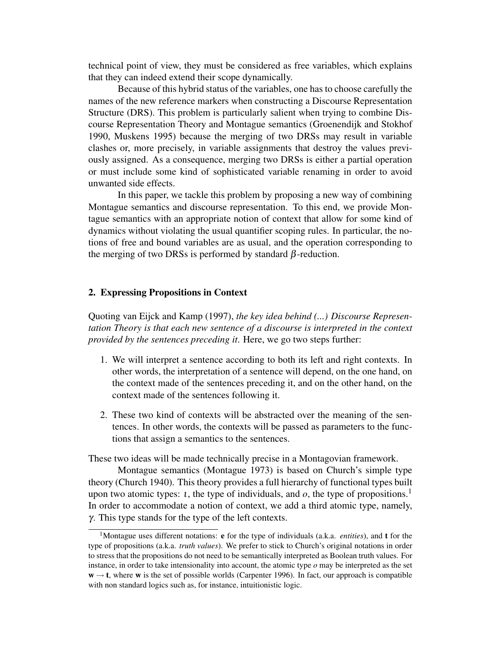technical point of view, they must be considered as free variables, which explains that they can indeed extend their scope dynamically.

Because of this hybrid status of the variables, one has to choose carefully the names of the new reference markers when constructing a Discourse Representation Structure (DRS). This problem is particularly salient when trying to combine Discourse Representation Theory and Montague semantics (Groenendijk and Stokhof 1990, Muskens 1995) because the merging of two DRSs may result in variable clashes or, more precisely, in variable assignments that destroy the values previously assigned. As a consequence, merging two DRSs is either a partial operation or must include some kind of sophisticated variable renaming in order to avoid unwanted side effects.

In this paper, we tackle this problem by proposing a new way of combining Montague semantics and discourse representation. To this end, we provide Montague semantics with an appropriate notion of context that allow for some kind of dynamics without violating the usual quantifier scoping rules. In particular, the notions of free and bound variables are as usual, and the operation corresponding to the merging of two DRSs is performed by standard  $\beta$ -reduction.

## 2. Expressing Propositions in Context

Quoting van Eijck and Kamp (1997), *the key idea behind (...) Discourse Representation Theory is that each new sentence of a discourse is interpreted in the context provided by the sentences preceding it*. Here, we go two steps further:

- 1. We will interpret a sentence according to both its left and right contexts. In other words, the interpretation of a sentence will depend, on the one hand, on the context made of the sentences preceding it, and on the other hand, on the context made of the sentences following it.
- 2. These two kind of contexts will be abstracted over the meaning of the sentences. In other words, the contexts will be passed as parameters to the functions that assign a semantics to the sentences.

These two ideas will be made technically precise in a Montagovian framework.

Montague semantics (Montague 1973) is based on Church's simple type theory (Church 1940). This theory provides a full hierarchy of functional types built upon two atomic types: *t*, the type of individuals, and *o*, the type of propositions.<sup>1</sup> In order to accommodate a notion of context, we add a third atomic type, namely, γ. This type stands for the type of the left contexts.

<sup>1</sup>Montague uses different notations: e for the type of individuals (a.k.a. *entities*), and t for the type of propositions (a.k.a. *truth values*). We prefer to stick to Church's original notations in order to stress that the propositions do not need to be semantically interpreted as Boolean truth values. For instance, in order to take intensionality into account, the atomic type *o* may be interpreted as the set  $w \rightarrow t$ , where w is the set of possible worlds (Carpenter 1996). In fact, our approach is compatible with non standard logics such as, for instance, intuitionistic logic.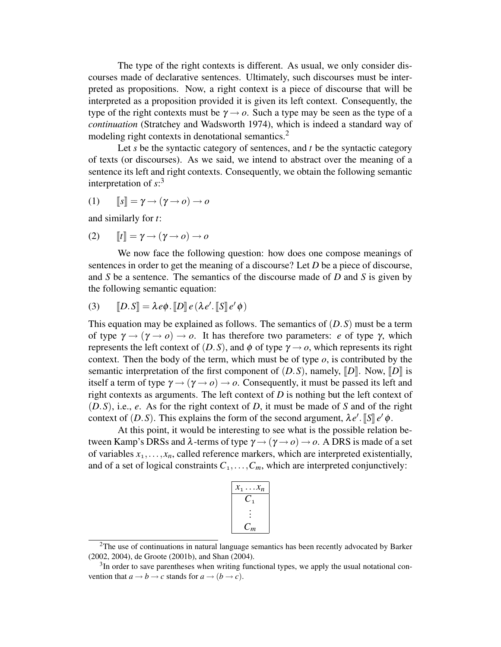The type of the right contexts is different. As usual, we only consider discourses made of declarative sentences. Ultimately, such discourses must be interpreted as propositions. Now, a right context is a piece of discourse that will be interpreted as a proposition provided it is given its left context. Consequently, the type of the right contexts must be  $\gamma \rightarrow o$ . Such a type may be seen as the type of a *continuation* (Stratchey and Wadsworth 1974), which is indeed a standard way of modeling right contexts in denotational semantics.<sup>2</sup>

Let *s* be the syntactic category of sentences, and *t* be the syntactic category of texts (or discourses). As we said, we intend to abstract over the meaning of a sentence its left and right contexts. Consequently, we obtain the following semantic interpretation of *s*: 3

(1) <sup>J</sup>*s*<sup>K</sup> <sup>=</sup> <sup>γ</sup> <sup>→</sup> (<sup>γ</sup> <sup>→</sup> *<sup>o</sup>*) <sup>→</sup> *<sup>o</sup>*

and similarly for *t*:

$$
(2) \qquad [t] = \gamma \to (\gamma \to o) \to o
$$

We now face the following question: how does one compose meanings of sentences in order to get the meaning of a discourse? Let *D* be a piece of discourse, and *S* be a sentence. The semantics of the discourse made of *D* and *S* is given by the following semantic equation:

(3) 
$$
[D.S] = \lambda e \phi \cdot [D] e (\lambda e' \cdot [S] e' \phi)
$$

This equation may be explained as follows. The semantics of (*D*.*S*) must be a term of type  $\gamma \rightarrow (\gamma \rightarrow o) \rightarrow o$ . It has therefore two parameters: *e* of type  $\gamma$ , which represents the left context of  $(D.S)$ , and  $\phi$  of type  $\gamma \rightarrow o$ , which represents its right context. Then the body of the term, which must be of type  $o$ , is contributed by the semantic interpretation of the first component of  $(D.S)$ , namely,  $[D]$ . Now,  $[D]$  is itself a term of type  $\gamma \rightarrow (\gamma \rightarrow o) \rightarrow o$ . Consequently, it must be passed its left and right contexts as arguments. The left context of *D* is nothing but the left context of (*D*.*S*), i.e., *e*. As for the right context of *D*, it must be made of *S* and of the right context of (*D*.*S*). This explains the form of the second argument,  $\lambda e'$ . [S]  $e' \phi$ .

At this point, it would be interesting to see what is the possible relation between Kamp's DRSs and  $\lambda$ -terms of type  $\gamma \rightarrow (\gamma \rightarrow o) \rightarrow o$ . A DRS is made of a set of variables  $x_1, \ldots, x_n$ , called reference markers, which are interpreted existentially, and of a set of logical constraints  $C_1, \ldots, C_m$ , which are interpreted conjunctively:

| $\cdot x_n$<br>$x_1$ . |
|------------------------|
| $\mathbf{1}$           |
|                        |
| $\mathcal{L}_m$        |

<sup>&</sup>lt;sup>2</sup>The use of continuations in natural language semantics has been recently advocated by Barker (2002, 2004), de Groote (2001b), and Shan (2004).

 $3$ In order to save parentheses when writing functional types, we apply the usual notational convention that  $a \rightarrow b \rightarrow c$  stands for  $a \rightarrow (b \rightarrow c)$ .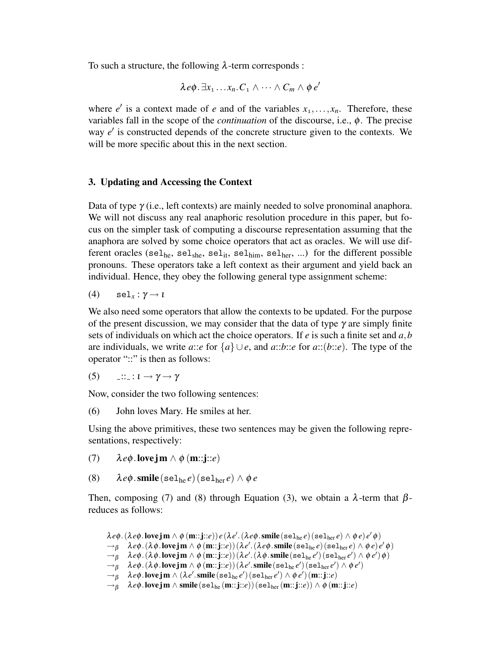To such a structure, the following  $\lambda$ -term corresponds :

$$
\lambda e\phi \cdot \exists x_1 \ldots x_n. C_1 \wedge \cdots \wedge C_m \wedge \phi e'
$$

where  $e'$  is a context made of *e* and of the variables  $x_1, \ldots, x_n$ . Therefore, these variables fall in the scope of the *continuation* of the discourse, i.e., φ. The precise way *e'* is constructed depends of the concrete structure given to the contexts. We will be more specific about this in the next section.

## 3. Updating and Accessing the Context

Data of type  $\gamma$  (i.e., left contexts) are mainly needed to solve pronominal anaphora. We will not discuss any real anaphoric resolution procedure in this paper, but focus on the simpler task of computing a discourse representation assuming that the anaphora are solved by some choice operators that act as oracles. We will use different oracles (sel<sub>he</sub>, sel<sub>she</sub>, sel<sub>it</sub>, sel<sub>him</sub>, sel<sub>her</sub>, ...) for the different possible pronouns. These operators take a left context as their argument and yield back an individual. Hence, they obey the following general type assignment scheme:

$$
(4) \qquad \text{sel}_{x} : \gamma \to \iota
$$

We also need some operators that allow the contexts to be updated. For the purpose of the present discussion, we may consider that the data of type  $\gamma$  are simply finite sets of individuals on which act the choice operators. If *e* is such a finite set and *a*,*b* are individuals, we write *a*::*e* for {*a*} ∪*e*, and *a*::*b*::*e* for *a*::(*b*::*e*). The type of the operator "::" is then as follows:

(5)  $\cdots$  ::  $\iota \rightarrow \gamma \rightarrow \gamma$ 

Now, consider the two following sentences:

(6) John loves Mary. He smiles at her.

Using the above primitives, these two sentences may be given the following representations, respectively:

- (7) λ*e*φ.love jm ∧ φ (m::j::*e*)
- (8)  $\lambda e\phi$ .smile (sel<sub>he</sub> e) (sel<sub>her</sub> e)  $\wedge \phi e$

Then, composing (7) and (8) through Equation (3), we obtain a  $\lambda$ -term that  $\beta$ reduces as follows:

```
\lambda e\phi . ( \lambda e\phi . love \mathbf{jm} \wedge \phi(\mathbf{m}::\mathbf{j}::e))e(\lambda e'.(\lambda e\phi.\mathbf{smile}(\mathtt{sel}_{\mathtt{he}}e)(\mathtt{sel}_{\mathtt{her}}e) \wedge \phi e)e'\phi)\rightarrowβ \lambda e \phi.(\lambda \phi.lovejm \land \phi(m::j::e))(\lambda e'.(\lambda e \phi.smile(\texttt{sel}_{\text{he}} e)(\texttt{sel}_{\text{her}} e) \land \phi e)e' \phi)
\rightarrow_\beta \quad \lambda e \phi \ldotp (\lambda \phi \ldotp \mathbf{lovejm} \wedge \phi \left( \mathbf{m}::\mathbf{j}::e \right)) (\lambda e' \ldotp (\lambda \phi .\mathbf{smile} \left( \mathbf{sel}_{\mathbf{he}} e' \right) (\mathbf{sel}_{\mathbf{her}} e') \wedge \phi \, e') \, \phi)\rightarrow_\beta \quad \lambda e \phi \ldotp (\lambda \phi \ldotp \mathbf{lovejm} \wedge \phi \, (\mathbf{m::j::}e))\, (\lambda e' . \mathbf{smile}\,(\mathtt{sel}_{\mathtt{he}}\, e')\,(\mathtt{sel}_{\mathtt{her}}\, e') \wedge \phi \, e')\rightarrow_\beta^{\rho} \quad \lambda e \phi.lovejm \wedge (\lambda e'.smile(sel<sub>he</sub>e')(sel<sub>her</sub>e')\wedge \phi e')(m::j::e)
\rightarrow_B \lambda e\phi.love jm \wedge smile (sel<sub>he</sub> (m:: j::e)) (sel<sub>her</sub> (m:: j::e)) \wedge \phi (m:: j::e)
```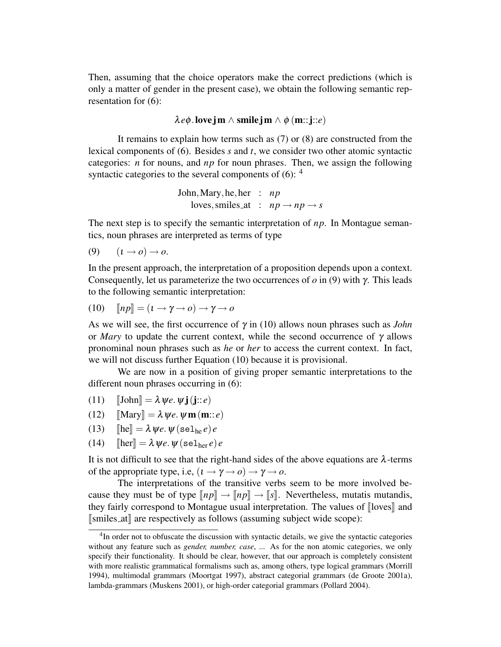Then, assuming that the choice operators make the correct predictions (which is only a matter of gender in the present case), we obtain the following semantic representation for (6):

 $\lambda e\phi$ .love jm  $\wedge$  smile jm  $\wedge \phi$  (m:: j::*e*)

It remains to explain how terms such as (7) or (8) are constructed from the lexical components of (6). Besides *s* and *t*, we consider two other atomic syntactic categories: *n* for nouns, and *np* for noun phrases. Then, we assign the following syntactic categories to the several components of  $(6)$ :  $4$ 

> John,Mary,he,her : *np* loves, smiles\_at :  $np \rightarrow np \rightarrow s$

The next step is to specify the semantic interpretation of *np*. In Montague semantics, noun phrases are interpreted as terms of type

(9)  $(t \rightarrow o) \rightarrow o$ .

In the present approach, the interpretation of a proposition depends upon a context. Consequently, let us parameterize the two occurrences of *o* in (9) with γ. This leads to the following semantic interpretation:

$$
(10) \quad [np] = (t \to \gamma \to o) \to \gamma \to o
$$

As we will see, the first occurrence of  $\gamma$  in (10) allows noun phrases such as *John* or *Mary* to update the current context, while the second occurrence of  $\gamma$  allows pronominal noun phrases such as *he* or *her* to access the current context. In fact, we will not discuss further Equation (10) because it is provisional.

We are now in a position of giving proper semantic interpretations to the different noun phrases occurring in  $(6)$ :

- (11)  $\llbracket \text{John} \rrbracket = \lambda \psi e. \psi \mathbf{j}(\mathbf{j}::e)$
- (12)  $\|\text{Mary}\| = \lambda \psi e \cdot \psi \mathbf{m}(\mathbf{m}:: e)$
- (13)  $[\text{he}] = \lambda \psi e \cdot \psi (\text{sel}_{\text{he}} e) e$ <br>(14)  $[\text{her}] = \lambda \psi e \cdot \psi (\text{sel}_{\text{her}} e)$
- $[\text{her}] = \lambda \psi e \cdot \psi (\text{sel}_{\text{her}} e) e$

It is not difficult to see that the right-hand sides of the above equations are  $\lambda$ -terms of the appropriate type, i.e,  $(\iota \rightarrow \gamma \rightarrow o) \rightarrow \gamma \rightarrow o$ .

The interpretations of the transitive verbs seem to be more involved because they must be of type  $\llbracket np \rrbracket \rightarrow \llbracket np \rrbracket \rightarrow \llbracket s \rrbracket$ . Nevertheless, mutatis mutandis, they fairly correspond to Montague usual interpretation. The values of  $\lceil \text{loves} \rceil$  and  $\lceil \text{smiles}_\text{at} \rceil \rceil$  are respectively as follows (assuming subject wide scope):

<sup>&</sup>lt;sup>4</sup>In order not to obfuscate the discussion with syntactic details, we give the syntactic categories without any feature such as *gender, number, case*, ... As for the non atomic categories, we only specify their functionality. It should be clear, however, that our approach is completely consistent with more realistic grammatical formalisms such as, among others, type logical grammars (Morrill 1994), multimodal grammars (Moortgat 1997), abstract categorial grammars (de Groote 2001a), lambda-grammars (Muskens 2001), or high-order categorial grammars (Pollard 2004).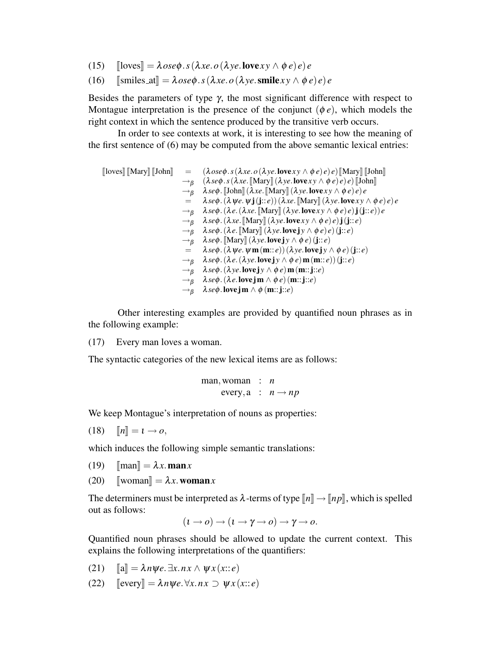- (15)  $[\text{loves}] = \lambda \, \text{ose}\phi \cdot s(\lambda \, \text{xe.}\,o(\lambda \, \text{ye.}\, \text{love} \, \text{xy} \wedge \phi \, e) e) e$ <br>(16)  $[\text{smiles\_at}] = \lambda \, \text{ose}\phi \cdot s(\lambda \, \text{xe.}\,o(\lambda \, \text{ye.}\, \text{smile} \, \text{xy} \wedge \phi \, e)$
- $[\text{smiles}_at] = \lambda ose\phi. s(\lambda xe. o(\lambda ye. \text{smile} xy \wedge \phi e)e)e$

Besides the parameters of type  $\gamma$ , the most significant difference with respect to Montague interpretation is the presence of the conjunct  $(\phi e)$ , which models the right context in which the sentence produced by the transitive verb occurs.

In order to see contexts at work, it is interesting to see how the meaning of the first sentence of (6) may be computed from the above semantic lexical entries:

 $\begin{bmatrix} \text{Iloves} \end{bmatrix} \begin{bmatrix} \text{Mary} \end{bmatrix} \begin{bmatrix} \text{John} \end{bmatrix} = (\lambda \, \text{ose} \phi \cdot s(\lambda \, \text{xe.} \, o(\lambda \, \text{ye.} \, \text{love} \, \text{xy} \wedge \phi \, e) \, e) \, e) \begin{bmatrix} \text{Mary} \end{bmatrix} \begin{bmatrix} \text{John} \end{bmatrix}$  $\rightarrow$ β ( $\lambda$ *se*φ.*s*( $\lambda$ *xe*. [Mary]( $\lambda$ *ye*. love *xy*  $\wedge$   $\phi$ *e*)*e*) [John]  $\rightarrow$ β  $\lambda$ *se* $\phi$ . [John] ( $\lambda$ *xe*. [Mary] ( $\lambda$ *ye*. love*xy*  $\wedge \phi$ *e*)*e*)*e*<br>=  $\lambda$ *se* $\phi$ . ( $\lambda$ *we*. w**i**(**i**::*e*)) ( $\lambda$ *xe*. [Mary] ( $\lambda$ *ye*. love*xy*  $\lambda$ *se* $\phi$ . ( $\lambda \psi e$ .  $\psi$ **j**(**j**::*e*)) ( $\lambda$ *xe*. Mary  $\ket{\lambda \psi}$ *e*. love *x*  $y \wedge \phi e$ )*e*)*e*  $\rightarrow$ <sup>*β*</sup>  $\lambda$ *se* $\phi$ .( $\lambda$ *e*.( $\lambda$ *xe*. [Mary][ $(\lambda$ *ye*.love*xy*  $\land$   $\phi$ *e*)*e*)**j**( $\mathbf{j}::e$ ))*e*  $\rightarrow_B \quad \lambda \text{se} \phi \cdot (\lambda \text{xe} \cdot \text{[Mary}] (\lambda \text{ye} \cdot \text{love} \text{xy} \wedge \phi \text{e}) \cdot \mathbf{e}) \cdot \mathbf{j}(\mathbf{j}::\mathbf{e})$  $\rightarrow_B$   $\lambda$ *se* $\phi$ . ( $\lambda e$ . Mary  $\left[ (\lambda ye.$  **love** j  $y \wedge \phi e$ )  $e$ ) (j:: *e*)  $\rightarrow$ β  $\lambda$ *se* $\phi$ . [Mary] (λ*ye*. **love** j *y* ∧  $\phi$  *e*) (j:: *e*)<br>=  $\lambda$ *se* $\phi$ . (λ*we*. wm (m:: *e*)) (λ*ye*. **love i** y /  $\lambda$ *se* $\phi$ . ( $\lambda \psi e$ *.*  $\psi$ **m**(**m**::*e*)) ( $\lambda \psi e$ *.* love j  $\psi \wedge \phi e$ ) (j::*e*)  $\rightarrow$ <sup>*B*</sup>  $\lambda$ *se* $\phi$ .( $\lambda$ *e*.( $\lambda$ *ye*.love**j**y  $\wedge$   $\phi$ *e*)**m**(**m**::*e*))(**j**::*e*)  $\rightarrow_B \quad \lambda \text{se} \phi \cdot (\lambda \text{ye}.\text{lovejy} \wedge \phi \text{e}) \mathbf{m}(\mathbf{m}::\mathbf{j}::\mathbf{e})$ →<sup>β</sup> λ*se*φ.(λ*e*.love jm ∧ φ *e*) (m::j::*e*)  $\rightarrow_B \quad \lambda \text{se} \phi$ .love jm  $\wedge \phi$  (m:: j::*e*)

Other interesting examples are provided by quantified noun phrases as in the following example:

(17) Every man loves a woman.

The syntactic categories of the new lexical items are as follows:

$$
\begin{array}{rcl}\n\text{man, woman} & : & n \\
\text{every, a} & : & n \rightarrow np\n\end{array}
$$

We keep Montague's interpretation of nouns as properties:

 $\llbracket n \rrbracket = \mathbf{1} \rightarrow \mathbf{0},$ 

which induces the following simple semantic translations:

(19)  $\text{[man]} = \lambda x \cdot \text{man} x$ <br>(20)  $\text{[woman]} = \lambda x \cdot \text{won}$ 

 $\llbracket$ woman $\rrbracket = \lambda x$ .woman*x* 

The determiners must be interpreted as  $\lambda$ -terms of type  $\llbracket n \rrbracket \rightarrow \llbracket np \rrbracket$ , which is spelled out as follows:

$$
(\iota \to o) \to (\iota \to \gamma \to o) \to \gamma \to o.
$$

Quantified noun phrases should be allowed to update the current context. This explains the following interpretations of the quantifiers:

- (21)  $\llbracket \mathbf{a} \rrbracket = \lambda n \mathbf{w} e \exists x . n x \wedge \mathbf{w} x (x :: e)$
- (22)  $[\text{every}] = \lambda n \psi e \cdot \forall x. n x \supset \psi x (x : : e)$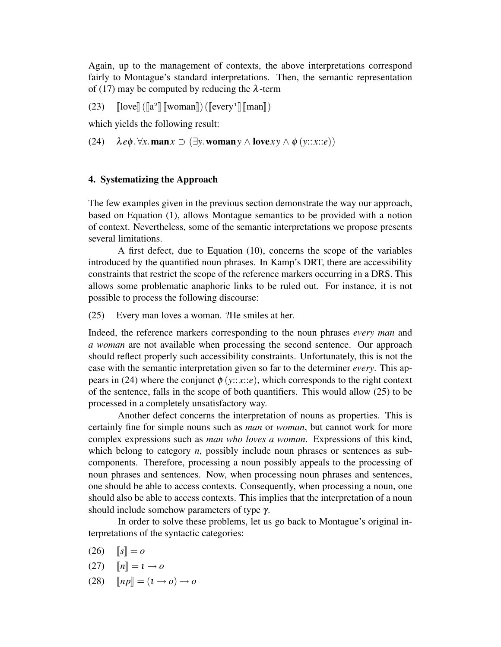Again, up to the management of contexts, the above interpretations correspond fairly to Montague's standard interpretations. Then, the semantic representation of (17) may be computed by reducing the  $\lambda$ -term

(23)  $[\text{love}]([\text{a}^2][\text{woman}])([\text{every}^1][\text{man}])$ 

which yields the following result:

(24)  $\lambda e\phi \cdot \forall x. \text{man } x \supset (\exists y. \text{woman } y \wedge \text{love} xy \wedge \phi(y::x::e))$ 

#### 4. Systematizing the Approach

The few examples given in the previous section demonstrate the way our approach, based on Equation (1), allows Montague semantics to be provided with a notion of context. Nevertheless, some of the semantic interpretations we propose presents several limitations.

A first defect, due to Equation (10), concerns the scope of the variables introduced by the quantified noun phrases. In Kamp's DRT, there are accessibility constraints that restrict the scope of the reference markers occurring in a DRS. This allows some problematic anaphoric links to be ruled out. For instance, it is not possible to process the following discourse:

(25) Every man loves a woman. ?He smiles at her.

Indeed, the reference markers corresponding to the noun phrases *every man* and *a woman* are not available when processing the second sentence. Our approach should reflect properly such accessibility constraints. Unfortunately, this is not the case with the semantic interpretation given so far to the determiner *every*. This appears in (24) where the conjunct  $\phi$  (*y*::*x*::*e*), which corresponds to the right context of the sentence, falls in the scope of both quantifiers. This would allow (25) to be processed in a completely unsatisfactory way.

Another defect concerns the interpretation of nouns as properties. This is certainly fine for simple nouns such as *man* or *woman*, but cannot work for more complex expressions such as *man who loves a woman*. Expressions of this kind, which belong to category *n*, possibly include noun phrases or sentences as subcomponents. Therefore, processing a noun possibly appeals to the processing of noun phrases and sentences. Now, when processing noun phrases and sentences, one should be able to access contexts. Consequently, when processing a noun, one should also be able to access contexts. This implies that the interpretation of a noun should include somehow parameters of type γ.

In order to solve these problems, let us go back to Montague's original interpretations of the syntactic categories:

- $(26)$   $\|s\| = 0$
- $(27)$   $\|n\| = 1 \rightarrow o$
- $(28)$   $\ln p \equiv (1 \rightarrow o) \rightarrow o$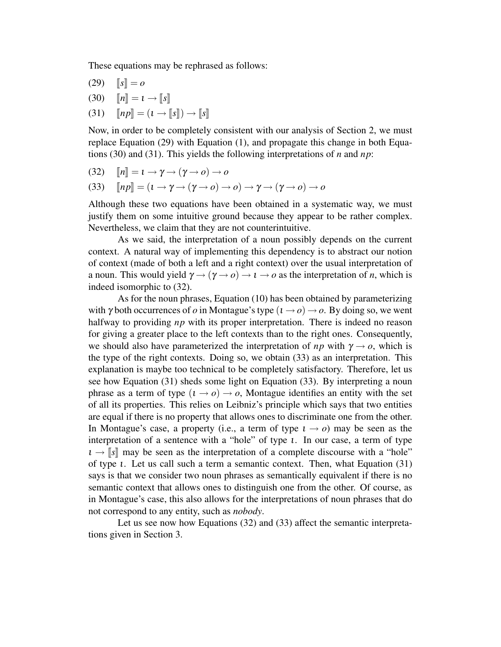These equations may be rephrased as follows:

- $(29)$   $\|s\| = 0$
- (30)  $\llbracket n \rrbracket = t \rightarrow \llbracket s \rrbracket$ <br>(31)  $\llbracket np \rrbracket = (t \rightarrow \mathbb{I})$
- $\llbracket np \rrbracket = (i \rightarrow \llbracket s \rrbracket) \rightarrow \llbracket s \rrbracket$

Now, in order to be completely consistent with our analysis of Section 2, we must replace Equation (29) with Equation (1), and propagate this change in both Equations (30) and (31). This yields the following interpretations of *n* and *np*:

- (32)  $\llbracket n \rrbracket = \iota \rightarrow \gamma \rightarrow (\gamma \rightarrow o) \rightarrow o$ <br>(33)  $\llbracket n p \rrbracket = (\iota \rightarrow \gamma \rightarrow (\gamma \rightarrow o) \rightarrow$
- $\llbracket np \rrbracket = (1 \rightarrow \gamma \rightarrow (\gamma \rightarrow o) \rightarrow o) \rightarrow \gamma \rightarrow (\gamma \rightarrow o) \rightarrow o$

Although these two equations have been obtained in a systematic way, we must justify them on some intuitive ground because they appear to be rather complex. Nevertheless, we claim that they are not counterintuitive.

As we said, the interpretation of a noun possibly depends on the current context. A natural way of implementing this dependency is to abstract our notion of context (made of both a left and a right context) over the usual interpretation of a noun. This would yield  $\gamma \rightarrow (\gamma \rightarrow o) \rightarrow \iota \rightarrow o$  as the interpretation of *n*, which is indeed isomorphic to (32).

As for the noun phrases, Equation (10) has been obtained by parameterizing with  $\gamma$  both occurrences of  $\sigma$  in Montague's type  $(1 \rightarrow \sigma) \rightarrow \sigma$ . By doing so, we went halfway to providing *np* with its proper interpretation. There is indeed no reason for giving a greater place to the left contexts than to the right ones. Consequently, we should also have parameterized the interpretation of  $np$  with  $\gamma \rightarrow o$ , which is the type of the right contexts. Doing so, we obtain (33) as an interpretation. This explanation is maybe too technical to be completely satisfactory. Therefore, let us see how Equation (31) sheds some light on Equation (33). By interpreting a noun phrase as a term of type  $(1 \rightarrow o) \rightarrow o$ , Montague identifies an entity with the set of all its properties. This relies on Leibniz's principle which says that two entities are equal if there is no property that allows ones to discriminate one from the other. In Montague's case, a property (i.e., a term of type  $1 \rightarrow o$ ) may be seen as the interpretation of a sentence with a "hole" of type ι. In our case, a term of type  $\iota \rightarrow \llbracket s \rrbracket$  may be seen as the interpretation of a complete discourse with a "hole" of type ι. Let us call such a term a semantic context. Then, what Equation (31) says is that we consider two noun phrases as semantically equivalent if there is no semantic context that allows ones to distinguish one from the other. Of course, as in Montague's case, this also allows for the interpretations of noun phrases that do not correspond to any entity, such as *nobody*.

Let us see now how Equations (32) and (33) affect the semantic interpretations given in Section 3.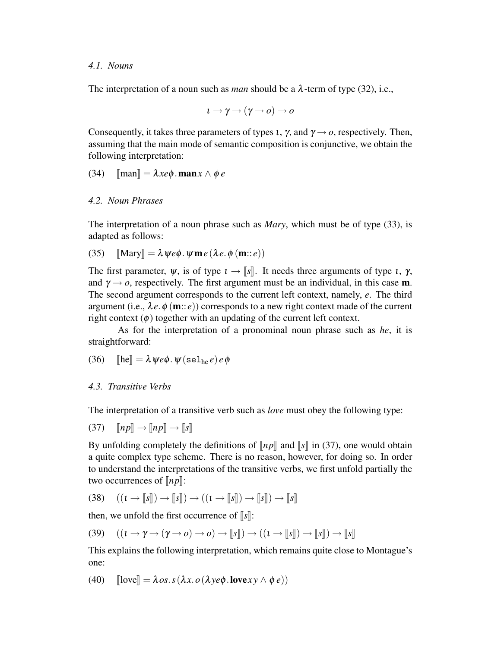#### *4.1. Nouns*

The interpretation of a noun such as *man* should be a  $\lambda$ -term of type (32), i.e.,

$$
\iota \to \gamma \mathbin{\rightarrow} (\gamma \mathbin{\rightarrow} o) \mathbin{\rightarrow} o
$$

Consequently, it takes three parameters of types *i*,  $\gamma$ , and  $\gamma \rightarrow o$ , respectively. Then, assuming that the main mode of semantic composition is conjunctive, we obtain the following interpretation:

(34) 
$$
[\text{man}] = \lambda x e \phi \cdot \text{man} x \wedge \phi e
$$

## *4.2. Noun Phrases*

The interpretation of a noun phrase such as *Mary*, which must be of type (33), is adapted as follows:

(35) 
$$
[\![\text{Mary}]\!] = \lambda \psi e \phi \cdot \psi \mathbf{m} e (\lambda e \cdot \phi (\mathbf{m} :: e))
$$

The first parameter,  $\psi$ , is of type  $\iota \to \llbracket s \rrbracket$ . It needs three arguments of type  $\iota$ ,  $\gamma$ , and  $\gamma \rightarrow o$ , respectively. The first argument must be an individual, in this case **m**. The second argument corresponds to the current left context, namely, *e*. The third argument (i.e.,  $\lambda e \phi$  (**m**:: *e*)) corresponds to a new right context made of the current right context  $(\phi)$  together with an updating of the current left context.

As for the interpretation of a pronominal noun phrase such as *he*, it is straightforward:

(36) 
$$
[\text{he}] = \lambda \psi e \phi \cdot \psi (\text{sel}_{he} e) e \phi
$$

## *4.3. Transitive Verbs*

The interpretation of a transitive verb such as *love* must obey the following type:

 $(37)$   $\llbracket np \rrbracket \rightarrow \llbracket np \rrbracket \rightarrow \llbracket s \rrbracket$ 

By unfolding completely the definitions of  $\llbracket np \rrbracket$  and  $\llbracket s \rrbracket$  in (37), one would obtain a quite complex type scheme. There is no reason, however, for doing so. In order to understand the interpretations of the transitive verbs, we first unfold partially the two occurrences of  $[np]$ :

$$
(38) \quad ((\iota \to \llbracket s \rrbracket) \to \llbracket s \rrbracket) \to ((\iota \to \llbracket s \rrbracket) \to \llbracket s \rrbracket) \to \llbracket s \rrbracket)
$$

then, we unfold the first occurrence of  $\|s\|$ :

(39) 
$$
((\iota \to \gamma \to (\gamma \to o) \to o) \to [\![s]\!]) \to ((\iota \to [\![s]\!]) \to [\![s]\!]) \to [\![s]\!])
$$

This explains the following interpretation, which remains quite close to Montague's one:

(40) 
$$
[\text{love}] = \lambda \, os.s(\lambda x. o(\lambda y e \phi. \text{love} xy \land \phi e))
$$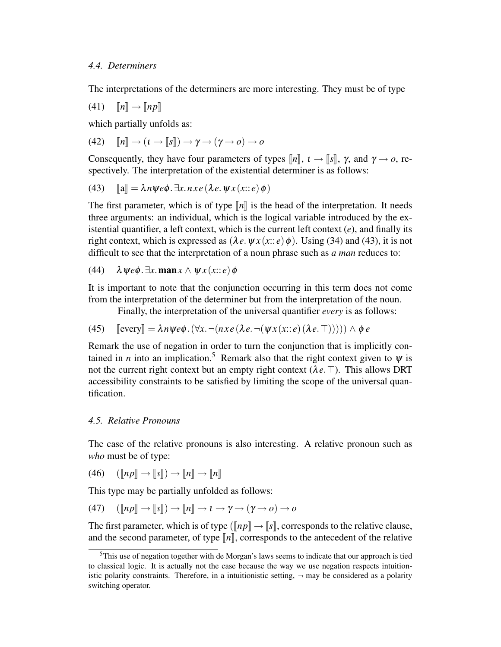The interpretations of the determiners are more interesting. They must be of type

$$
(41) \t[[n]] \to [[np]]
$$

which partially unfolds as:

(42) 
$$
\llbracket n \rrbracket \rightarrow (i \rightarrow \llbracket s \rrbracket) \rightarrow \gamma \rightarrow (\gamma \rightarrow o) \rightarrow o
$$

Consequently, they have four parameters of types  $\llbracket n \rrbracket$ ,  $\iota \to \llbracket s \rrbracket$ ,  $\gamma$ , and  $\gamma \to o$ , respectively. The interpretation of the existential determiner is as follows:

(43) 
$$
\llbracket a \rrbracket = \lambda n \psi e \phi \cdot \exists x. n x e (\lambda e. \psi x (x : e) \phi)
$$

The first parameter, which is of type  $\llbracket n \rrbracket$  is the head of the interpretation. It needs three arguments: an individual, which is the logical variable introduced by the existential quantifier, a left context, which is the current left context (*e*), and finally its right context, which is expressed as  $(\lambda e. \psi x(x))$ ;  $e)$   $\phi$ ). Using (34) and (43), it is not difficult to see that the interpretation of a noun phrase such as *a man* reduces to:

(44) 
$$
\lambda \psi e \phi \cdot \exists x. \max \wedge \psi x (x : e) \phi
$$

It is important to note that the conjunction occurring in this term does not come from the interpretation of the determiner but from the interpretation of the noun.

Finally, the interpretation of the universal quantifier *every* is as follows:

(45) 
$$
\llbracket \text{every} \rrbracket = \lambda n \psi e \phi \cdot (\forall x. \neg(n \, x \, e \, (\lambda \, e \, \neg(\psi \, x \, (x \colon e) \, (\lambda \, e \, \top)))) \land \phi \, e
$$

Remark the use of negation in order to turn the conjunction that is implicitly contained in *n* into an implication.<sup>5</sup> Remark also that the right context given to  $\psi$  is not the current right context but an empty right context ( $\lambda e$ . T). This allows DRT accessibility constraints to be satisfied by limiting the scope of the universal quantification.

## *4.5. Relative Pronouns*

The case of the relative pronouns is also interesting. A relative pronoun such as *who* must be of type:

$$
(46)\quad ([\![np]\!] \to [\![s]\!]) \to [\![n]\!] \to [\![n]\!]
$$

This type may be partially unfolded as follows:

(47) 
$$
(\llbracket np \rrbracket \rightarrow \llbracket s \rrbracket) \rightarrow \llbracket n \rrbracket \rightarrow \mathbf{1} \rightarrow \mathbf{1} \rightarrow \mathbf{1} \rightarrow (\mathbf{1} \rightarrow o) \rightarrow o
$$

The first parameter, which is of type ( $\llbracket np \rrbracket \rightarrow \llbracket s \rrbracket$ , corresponds to the relative clause, and the second parameter, of type  $\llbracket n \rrbracket$ , corresponds to the antecedent of the relative

 $5$ This use of negation together with de Morgan's laws seems to indicate that our approach is tied to classical logic. It is actually not the case because the way we use negation respects intuitionistic polarity constraints. Therefore, in a intuitionistic setting,  $\neg$  may be considered as a polarity switching operator.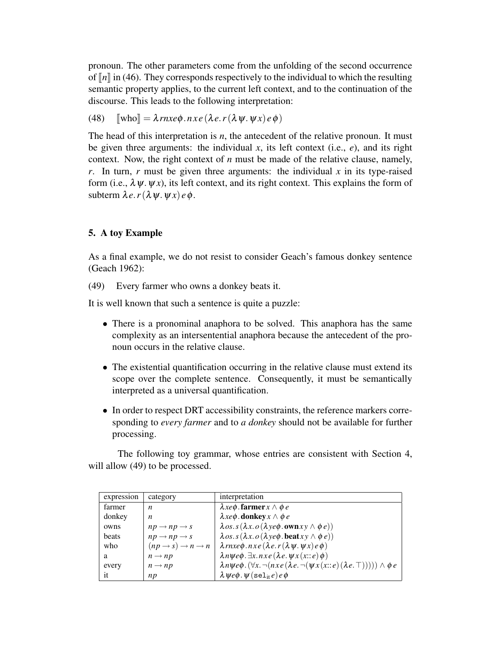pronoun. The other parameters come from the unfolding of the second occurrence of  $\ln \ln (46)$ . They corresponds respectively to the individual to which the resulting semantic property applies, to the current left context, and to the continuation of the discourse. This leads to the following interpretation:

(48) 
$$
[\![\text{who}]\!] = \lambda \operatorname{rnxe} \phi \cdot \operatorname{nx} e (\lambda e \cdot r (\lambda \psi \cdot \psi x) e \phi)
$$

The head of this interpretation is *n*, the antecedent of the relative pronoun. It must be given three arguments: the individual  $x$ , its left context (i.e.,  $e$ ), and its right context. Now, the right context of *n* must be made of the relative clause, namely, *r*. In turn, *r* must be given three arguments: the individual  $x$  in its type-raised form (i.e.,  $\lambda \psi$ .  $\psi$ *x*), its left context, and its right context. This explains the form of subterm  $\lambda e \cdot r(\lambda \psi \cdot \psi x) e \phi$ .

## 5. A toy Example

As a final example, we do not resist to consider Geach's famous donkey sentence (Geach 1962):

(49) Every farmer who owns a donkey beats it.

It is well known that such a sentence is quite a puzzle:

- There is a pronominal anaphora to be solved. This anaphora has the same complexity as an intersentential anaphora because the antecedent of the pronoun occurs in the relative clause.
- The existential quantification occurring in the relative clause must extend its scope over the complete sentence. Consequently, it must be semantically interpreted as a universal quantification.
- In order to respect DRT accessibility constraints, the reference markers corresponding to *every farmer* and to *a donkey* should not be available for further processing.

The following toy grammar, whose entries are consistent with Section 4, will allow  $(49)$  to be processed.

| expression | category                                         | interpretation                                                                                                     |
|------------|--------------------------------------------------|--------------------------------------------------------------------------------------------------------------------|
| farmer     | n                                                | $\lambda x e \phi$ . farmer $x \wedge \phi e$                                                                      |
| donkey     | n                                                | $\lambda x e \phi$ . donkey $x \wedge \phi e$                                                                      |
| owns       | $np \rightarrow np \rightarrow s$                | $\lambda$ os.s( $\lambda x.$ o( $\lambda y e \phi$ .own $xy \wedge \phi e$ ))                                      |
| beats      | $np \rightarrow np \rightarrow s$                | $\lambda$ os.s( $\lambda x.$ o( $\lambda y e \phi$ .beatx $y \wedge \phi e$ ))                                     |
| who        | $(np \rightarrow s) \rightarrow n \rightarrow n$ | $\lambda$ <i>rnxe</i> $\phi$ . <i>nxe</i> ( $\lambda e$ . <i>r</i> ( $\lambda \psi$ . $\psi x$ ) <i>e</i> $\phi$ ) |
| a          | $n \rightarrow np$                               | $\lambda n \psi e \phi$ . $\exists x. n x e (\lambda e. \psi x(x): e) \phi$                                        |
| every      | $n \rightarrow np$                               | $\lambda n \psi e \phi$ . $(\forall x. \neg(n x e (\lambda e. \neg(\psi x(x:: e)(\lambda e. \top)))) \land \phi e$ |
| it         | np                                               | $\lambda \psi e \phi \cdot \psi$ (sel <sub>it</sub> e) $e \phi$                                                    |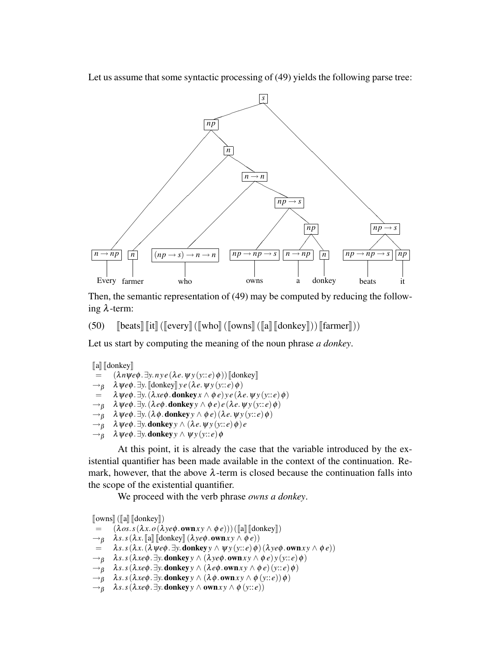Let us assume that some syntactic processing of (49) yields the following parse tree:



Then, the semantic representation of (49) may be computed by reducing the following λ-term:

(50)  $\left[\text{beats}\right]\left[\text{lit}\right]$  ( $\left[\text{every}\right]$  ( $\left[\text{who}\right]$  ( $\left[\text{owns}\right]$   $\left[\text{donkey}\right]$ ))  $\left[\text{famer}\right]$ ))

Let us start by computing the meaning of the noun phrase *a donkey*.

```
[a] [donkey]<br>= (\lambda n \mathbf{W}(\lambda n \psi e \phi \cdot \exists y. n y e (\lambda e. \psi y(y)) [donkey]
       \lambda \psi e \phi \cdot \exists y. \llbracket \text{donkey} \rrbracket y e (\lambda e. \psi y(y:: e) \phi)\lambda \psi e \phi. \exists y. (\lambda x e \phi. donkey x \wedge \phi e) y e (\lambda e. \psi y (y:: e)\phi)
→β λψeφ.∃y.(λeφ.donkeyy ∧ φ e)e (λe.ψ y (y:: e)φ)
→β λψeφ.∃y.(λ φ.donkeyy ∧ φ e) (λe.ψ y (y:: e)φ)
\rightarrow<sup>g</sup> \lambda \psi e \phi. \exists y. donkey y \wedge (\lambda e \psi y)(y:: e) \phi) e
→β λψeφ.∃y.donkeyy ∧ ψ y (y:: e)φ
```
At this point, it is already the case that the variable introduced by the existential quantifier has been made available in the context of the continuation. Remark, however, that the above  $\lambda$ -term is closed because the continuation falls into the scope of the existential quantifier.

We proceed with the verb phrase *owns a donkey*.

 $[\text{own}][\text{all}][\text{donkey}])$ <br>=  $(\lambda \text{os. s}(\lambda x. \text{o}(\lambda$ 

=  $(\lambda \circ s.s(\lambda x.\circ(\lambda y e\phi.\text{own} xy \wedge \phi e))) ([a] [[donkey]])$ <br>  $\rightarrow_B \lambda s.s(\lambda x. [[a] [[donkey]](\lambda y e\phi.\text{own} xy \wedge \phi e)))$ 

```
\rightarrowβ \lambdas.s(λx. [[a] [donkey] (λyeφ.ownxy ∧ φe))<br>= \lambdas.s(λx. (λweφ. ∃v. donkey γ ∧ w y(y::e) φ)
```

```
\lambdas.s(\lambdax.(\lambdaψeφ. \existsy. donkeyy \wedge \psiy(y::e)\phi)(\lambdaye\phi.ownxy \wedge \phie))
```

```
\rightarrow<sup>8</sup> \lambdas.s(\lambdaxe\phi. \existsy. donkey \gamma \land (\lambdaye\phi. ownx \gamma \land \phie)y(y::e)\phi)
```

```
→β λs.s(λxeφ.∃y.donkeyy ∧ (λeφ.ownx y ∧ φ e) (y:: e)φ)
```

```
\rightarrow<sup>β</sup> \lambdas.s(\lambdaxe\phi. \existsy. donkey y \land (\lambda\phi. ownxy \land \phi (y::e))\phi)
```

```
\rightarrow<sup>β</sup> \lambdas.s(\lambdaxeφ. \existsy. donkey y \wedge ownxy \wedge \phi (y::e))
```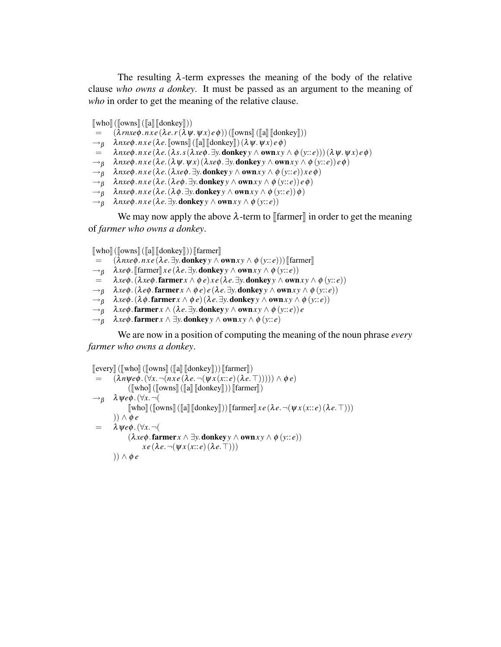The resulting  $\lambda$ -term expresses the meaning of the body of the relative clause *who owns a donkey*. It must be passed as an argument to the meaning of *who* in order to get the meaning of the relative clause.

```
\lceil \text{who} \rceil (\lceil \text{owns} \rceil (\lceil \text{ad} \rceil \lceil \text{donkey} \rceil))
```
- $(\lambda$ *rnxe* $\phi$ *.nxe*( $\lambda e$ *.r*( $\lambda \psi$ *.* $\psi$ *x*)*e* $\phi$ ))([[owns][([a] [[donkey]]))
- $\rightarrow$ β λ*nxe*φ.*nxe* (λe. [owns]] ([a] [donkey]) (λψ.ψ*x*) *e*φ)<br>= λ*nxeφ.nxe* (λe. (λs. s (λxeφ. ∃y. **donkey** γ ∧ **own** x y.
- = λ*nxe*φ.*n x e* (λ*e*.(λ*s*.*s*(λ*xe*φ.∃*y*.donkey*y* ∧ own*x y* ∧ φ (*y*:: *e*))) (λψ.ψ *x*)*e*φ)
- →<sup>β</sup> λ*nxe*φ.*n x e* (λ*e*.(λψ.ψ *x*) (λ*xe*φ.∃*y*.donkey*y* ∧ own*x y* ∧ φ (*y*:: *e*))*e*φ)
- →<sup>β</sup> λ*nxe*φ.*n x e* (λ*e*.(λ*xe*φ.∃*y*.donkey*y* ∧ own*x y* ∧ φ (*y*:: *e*))*x e*φ)
- →<sup>β</sup> λ*nxe*φ.*n x e* (λ*e*.(λ*e*φ.∃*y*.donkey*y* ∧ own*x y* ∧ φ (*y*:: *e*))*e*φ)
- →<sup>β</sup> λ*nxe*φ.*n x e* (λ*e*.(λ φ.∃*y*.donkey*y* ∧ own*x y* ∧ φ (*y*:: *e*))φ)
- $\rightarrow$ <sup>*8*</sup>  $\lambda$ *nxe* $\phi$ *.nxe* ( $\lambda e$ *.* $\exists$ *y*. **donkey**  $\gamma$   $\land$  **own***x*  $\gamma$   $\land$   $\phi$  ( $\gamma$ *::e*))

We may now apply the above  $\lambda$ -term to  $\llbracket$  farmer $\rrbracket$  in order to get the meaning of *farmer who owns a donkey*.

```
\begin{bmatrix} \mathbb{W} & \mathbb{W} & \mathbb{W} \\ \mathbb{W} & \mathbb{W} & \mathbb{W} \end{bmatrix} \begin{bmatrix} \mathbb{W} & \mathbb{W} \\ \mathbb{W} & \mathbb{W} & \mathbb{W} \end{bmatrix} \begin{bmatrix} \mathbb{W} & \mathbb{W} \\ \mathbb{W} & \mathbb{W} & \mathbb{W} \end{bmatrix} \begin{bmatrix} \mathbb{W} & \mathbb{W} & \mathbb{W} \\ \mathbb{W} & \mathbb{W} & \mathbb{W} & \mathbb{W} \end{bmatrix} = (\lambda n \mathbf{e} \mathbf{e
```
- $(\lambda nxe\phi \cdot nxe(\lambda e.\exists y.\mathbf{donkey}\,y \wedge \mathbf{own} xy \wedge \phi (y::e)))$  [farmer]
- $\rightarrow$ β  $\lambda x e \phi$ . [farmer]]  $xe (\lambda e. \exists y.$  **donkey**  $y \wedge \textbf{own} xy \wedge \phi(y; : e)$ )<br>=  $\lambda x e \phi$ . ( $\lambda x e \phi$ . farmer  $x \wedge \phi e$ )  $x e (\lambda e. \exists y.$  **donkey**  $y \wedge \textbf{own} y$
- $\lambda x e \phi$ . ( $\lambda x e \phi$ . farmer  $x \wedge \phi e$ ) $x e$  ( $\lambda e$ .  $\exists y$ . donkey  $y \wedge \phi w n x y \wedge \phi (y : e)$ )
- $\rightarrow$ <sup>*β*</sup>  $\lambda$ *xe* $\phi$ . ( $\lambda$ *e* $\phi$ . farmer  $x \wedge \phi$ *e*)*e* ( $\lambda$ *e*.  $\exists$ *y*. donkey  $y \wedge$  own  $xy \wedge \phi$  ( $y$ ::*e*))
- $\rightarrow$ <sup>*g*</sup>  $\lambda xe\phi$ . ( $\lambda \phi$ . farmer  $x \wedge \phi e$ ) ( $\lambda e$ .  $\exists y$ . donkey  $y \wedge \phi w \mathbf{n} x y \wedge \phi (y$ :: *e*))
- $\rightarrow$ <sup>*β*</sup>  $\lambda$ *xe* $\phi$ .farmer *x*  $\land$  ( $\lambda e$ .  $\exists$ *y*. donkey *y*  $\land$  own *xy*  $\land$   $\phi$  (*y*:: *e*))*e*
- $\rightarrow$ <sup>*8*</sup>  $\lambda$ *xe* $\phi$ . farmer *x*  $\land \exists$ *y*. donkey *y*  $\land$  own *x y*  $\land$   $\phi$  (*y*:: *e*)

We are now in a position of computing the meaning of the noun phrase *every farmer who owns a donkey*.

```
\left[\text{every}\right] (\left[\text{who}\right] (\left[\text{downs}\right] \left[\text{donkey}\right])) \left[\text{farmer}\right])(\lambda n \psi e \phi \cdot (\forall x. \neg (n x e (\lambda e. \neg (\psi x(x:: e) (\lambda e. \top)))) \wedge \phi e)(\lceil \text{who} \rceil (\lceil \text{owns} \rceil (\lceil a \rceil \lceil \text{donkey} \rceil)) \lceil \text{farmer} \rceil)→β λψeφ.(∀x.¬(
                          \llbracket \text{who} \rrbracket (\llbracket \text{owns} \rrbracket (\llbracket a \rrbracket \llbracket \text{donkey} \rrbracket)) \llbracket \text{farmer} \rrbracket x e (\lambda e. \neg (\psi x(x:: e) (\lambda e. \top))))) ∧ φ e
  = \lambda \psi e \phi. (\forall x. \neg ((\lambda x e\phi \cdot \mathbf{farmer} x \wedge \exists y \cdot \mathbf{donkey} y \wedge \mathbf{own} xy \wedge \phi (y::e))xe(\lambda e. \neg(\Psi x(x))e)(\lambda e. \top)))) ∧ φ e
```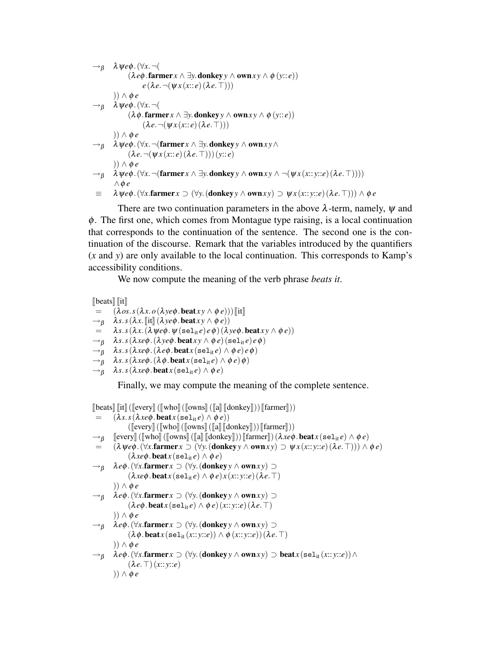$$
\rightarrow_{\beta} \quad \lambda \psi e\phi.(\forall x. \neg (\text{lambda x. } \neg (\text{lambda x. } \neg (\text{lambda x. } \neg (\text{lambda x. } \neg (\text{lambda x. } \neg (\text{lambda x. } \neg (\text{lambda x. } \neg (\text{lambda x. } \neg (\text{lambda x. } \neg (\text{lambda x. } \neg (\text{lambda x. } \neg (\text{lambda x. } \neg (\text{lambda x. } \neg (\text{lambda x. } \neg (\text{lambda x. } \neg (\text{lambda x. } \neg (\text{lambda x. } \neg (\text{lambda x. } \neg (\text{lambda x. } \neg (\text{lambda x. } \neg (\text{lambda x. } \neg (\text{lambda x. } \neg (\text{lambda x. } \neg (\text{lambda x. } \neg (\text{lambda x. } \neg (\text{lambda x. } \neg (\text{lambda x. } \neg (\text{lambda x. } \neg (\text{lambda x. } \neg (\text{lambda x. } \neg (\text{lambda x. } \neg (\text{lambda x. } \neg (\text{lambda x. } \neg (\text{lambda x. } \neg (\text{lambda x. } \neg (\text{lambda x. } \neg ((\text{lambda x. } \neg (\text{lambda x. } \neg ((\text{lambda x. } \neg ((\text{lambda x. } \neg ((\text{lambda x. } \neg ((\text{lambda x. } \neg ((\text{lambda x. } \neg ((\text{lambda x. } \neg ((\text{lambda x. } \neg ((\text{lambda x. } \neg ((\text{lambda x. } \neg ((\text{lambda x. } \neg ((\text{lambda x. } \neg ((\text{lambda x. } \neg ((\text{lambda x. } \neg ((\text{lambda x. } \neg ((\text{lambda x. } \neg ((\text{lambda x. } \neg ((\text{lambda x. } \neg ((\text{lambda x. } \neg ((\text{lambda x. } \neg ((\text{lambda x. } \neg ((\text{lambda x. } \neg ((\text{lambda x. } \neg ((\text{lambda x. } \neg ((\text{lambda x. } \neg ((\text{lambda x. } \neg ((\text{lambda x. } \neg ((\text{lambda x. } \neg ((\text{lambda x. } \neg ((\text{lambda x. } \neg ((\text{lambda x. } \neg ((\text{lambda x. } \neg ((\text{lambda x. } \neg ((\text{lambda x. } \neg ((\text{lambda x. } \neg ((\text{lambda x. } \neg ((\text{lambda x. } \neg ((\text{lambda x. } \neg ((\text{lambda x. } \neg ((\text{lambda x. } \neg ((\text{lambda
$$

There are two continuation parameters in the above  $\lambda$ -term, namely,  $\psi$  and φ. The first one, which comes from Montague type raising, is a local continuation that corresponds to the continuation of the sentence. The second one is the continuation of the discourse. Remark that the variables introduced by the quantifiers (*x* and *y*) are only available to the local continuation. This corresponds to Kamp's accessibility conditions.

We now compute the meaning of the verb phrase *beats it*.

```
\begin{bmatrix} \text{beats} \\ \text{if} \end{bmatrix}<br>= (\lambda \omega s)(\lambda \cos s(\lambda x. o(\lambda y e \phi \cdot \text{beat} xy \wedge \phi e))) [it]
\rightarrowβ \lambdas.s(\lambdax. [it] (\lambdaye\phi. beatxy \land \phie))<br>= \lambdas.s(\lambdax. (\lambdaWe\phi. W(sel<sub>it</sub>e)e\phi)(\lambday
              \lambdas.s(\lambdax.(\lambdaψe\phi.\psi(sel<sub>it</sub>e)e\phi)(\lambdaye\phi.beatxy \wedge \phie))
\rightarrow<sup>β</sup> \lambdas.s(\lambdaxe\phi.(\lambdaye\phi.beatxy \land \phie)(sel<sub>it</sub>e)e\phi)
\rightarrow_B \lambda s. s(\lambda x e\phi.(\lambda e\phi.beat x(\text{sel}_{it}e) \wedge \phi e)e\phi)\rightarrow_B \quad \lambda s.s(\lambda x e\phi.(\lambda \phi.\text{beat}x(\text{sel}_{it}e) \wedge \phi e)\phi)\rightarrow<sup>β</sup> \lambdas.s(\lambdaxe\phi.beatx(sel<sub>it</sub>e) \land \phie)
```
Finally, we may compute the meaning of the complete sentence.

```
\left[\begin{matrix} \cos \theta & \sin \theta \\ \cos \theta & \sin \theta \end{matrix}\right](\left[\begin{matrix} \sin \theta & \cos \theta \\ \cos \theta & \sin \theta \end{matrix}\right](\left[\begin{matrix} \sin \theta & \sin \theta \\ \cos \theta & \sin \theta \end{matrix}\right]) (\left[\begin{matrix} \sin \theta & \sin \theta \\ \cos \theta & \sin \theta \end{matrix}\right])(\lambda s. s(\lambda x e \phi. \text{beat} x (\text{sel}_{it} e) \land \phi e))(\llbracket \text{every} \rrbracket (\llbracket \text{who} \rrbracket (\llbracket \text{owns} \rrbracket (\llbracket \text{a} \rrbracket \llbracket \text{donkey} \rrbracket)) \llbracket \text{farmer} \rrbracket))\rightarrow<sup>β</sup>
             \lceil \lceil \text{every} \rceil (\lceil \text{who} \rceil (\lceil \text{owns} \rceil (\lceil \text{ad} \rceil (\lceil \text{donkey} \rceil))) \rceil (\text{farmer} \rceil) (\lambda \times e\phi) \cdot \text{beat} \times (\text{sel}_{it} e) \wedge \phi e)= (\lambda \psi e \phi.(\forall x . \text{farmer } x \supset (\forall y.(\text{donkey } y \land \text{own} xy) \supset \psi x.(\text{x::y::e})(\lambda e. \top))) \land \phi e)(\lambda x e \phi \cdot \textbf{beat} x (\textbf{sel}_{it} e) \wedge \phi e)\rightarrow<sup>β</sup> λeφ. (∀x.farmer x ⊃ (∀y. (donkey y ∧ own xy) ⊃
                          (\lambda x e \phi \cdot \textbf{beat} x (\textbf{sel}_{it} e) \wedge \phi e) x (x::y::e) (\lambda e. \top))) ∧ φ e
\rightarrow<sup>8</sup> \lambda e\phi. (∀x.farmer x \supset (∀y. (donkey y \wedge own xy) \supset(\lambda e\phi \cdot \textbf{beat} x(\textbf{sel}_{it}e) \wedge \phi e)(x::y::e)(\lambda e.\top))) ∧ φ e
→β λeφ.(∀x.farmer x ⊃ (∀y.(donkeyy ∧ ownx y) ⊃
                          (\lambda \phi \cdot \text{beat} x (\text{sel}_{it}(x::y::e)) \wedge \phi (x::y::e)) (\lambda e. \top))) ∧ φ e
\rightarrow<sup>β</sup> \lambda e\phi. (\forallx.farmer x \supset (\forally. (donkey y \wedge own xy) \supset beat x (sel<sub>it</sub> (x:: y::e)) \wedge(\lambda e.\top)(x::y::e))) ∧ φ e
```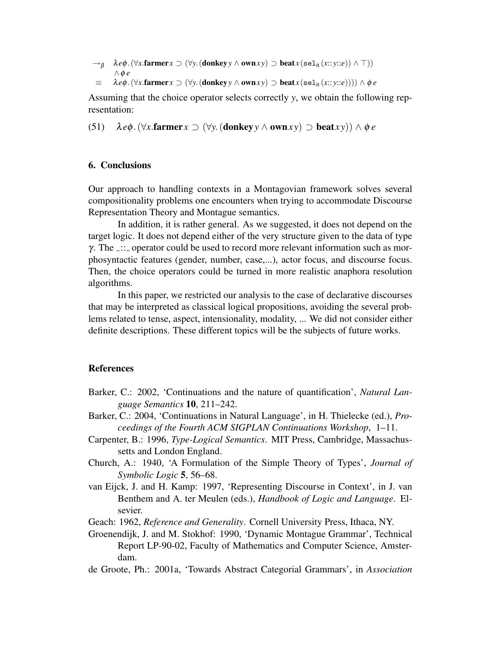$\rightarrow$ <sup>*8*</sup>  $\lambda$ *e* $\phi$ . ( $\forall$ *x*.farmer *x*  $\supset$  ( $\forall$ *y*. (donkey *y*  $\wedge$  own *xy*)  $\supset$  beat *x* (sel<sub>it</sub> (*x*:: *y*::*e*))  $\wedge$  T)) ∧φ *e*

 $\equiv \lambda e\phi$ . ( $\forall x$ .farmer *x*  $\supset (\forall y$ . (donkey  $y \wedge \text{own} xy) \supset \text{beat} x(\text{sel}_{it}(x::y::e)))) \wedge \phi e$ 

Assuming that the choice operator selects correctly *y*, we obtain the following representation:

(51)  $\lambda e\phi$ . ( $\forall x$ .farmer  $x \supset (\forall y$ . (donkey  $\gamma \wedge \text{own} xy) \supset \text{beat} xy) \wedge \phi e$ 

## 6. Conclusions

Our approach to handling contexts in a Montagovian framework solves several compositionality problems one encounters when trying to accommodate Discourse Representation Theory and Montague semantics.

In addition, it is rather general. As we suggested, it does not depend on the target logic. It does not depend either of the very structure given to the data of type γ. The  $\therefore$  operator could be used to record more relevant information such as morphosyntactic features (gender, number, case,...), actor focus, and discourse focus. Then, the choice operators could be turned in more realistic anaphora resolution algorithms.

In this paper, we restricted our analysis to the case of declarative discourses that may be interpreted as classical logical propositions, avoiding the several problems related to tense, aspect, intensionality, modality, ... We did not consider either definite descriptions. These different topics will be the subjects of future works.

## References

- Barker, C.: 2002, 'Continuations and the nature of quantification', *Natural Language Semantics* 10, 211–242.
- Barker, C.: 2004, 'Continuations in Natural Language', in H. Thielecke (ed.), *Proceedings of the Fourth ACM SIGPLAN Continuations Workshop*, 1–11.
- Carpenter, B.: 1996, *Type-Logical Semantics*. MIT Press, Cambridge, Massachussetts and London England.
- Church, A.: 1940, 'A Formulation of the Simple Theory of Types', *Journal of Symbolic Logic* 5, 56–68.
- van Eijck, J. and H. Kamp: 1997, 'Representing Discourse in Context', in J. van Benthem and A. ter Meulen (eds.), *Handbook of Logic and Language*. Elsevier.
- Geach: 1962, *Reference and Generality*. Cornell University Press, Ithaca, NY.
- Groenendijk, J. and M. Stokhof: 1990, 'Dynamic Montague Grammar', Technical Report LP-90-02, Faculty of Mathematics and Computer Science, Amsterdam.
- de Groote, Ph.: 2001a, 'Towards Abstract Categorial Grammars', in *Association*